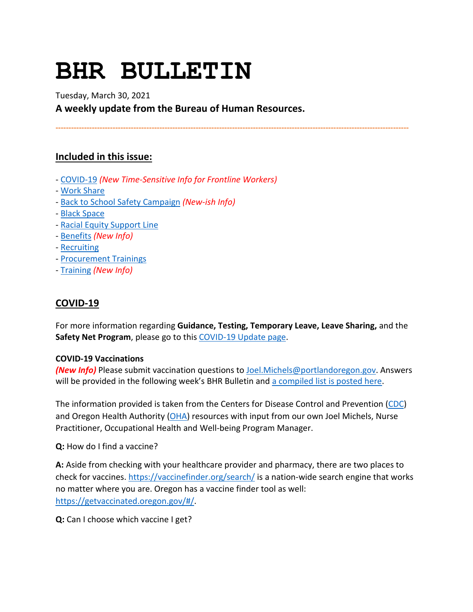# **BHR BULLETIN**

Tuesday, March 30, 2021

**A weekly update from the Bureau of Human Resources.**

**----------------------------------------------------------------------------------------------------------------------------------------**

# **Included in this issue:**

- [COVID-19](#page-0-0) *(New Time-Sensitive Info for Frontline Workers)*
- [Work Share](#page-1-0)
- [Back to School Safety Campaign](#page-2-0) *(New-ish Info)*
- [Black Space](#page-3-0)
- [Racial Equity Support Line](#page-3-1)
- [Benefits](#page-3-2) *(New Info)*
- [Recruiting](#page-6-0)
- [Procurement Trainings](#page-7-0)
- [Training](#page-7-1) *(New Info)*

# <span id="page-0-0"></span>**COVID-19**

For more information regarding **Guidance, Testing, Temporary Leave, Leave Sharing,** and the Safety Net Program, please go to thi[s COVID-19 Update page.](https://www.portlandoregon.gov/bhr/article/779927)

## **COVID-19 Vaccinations**

*(New Info)* Please submit vaccination questions to [Joel.Michels@portlandoregon.gov.](mailto:Joel.Michels@portlandoregon.gov) Answers will be provided in the following week's BHR Bulletin and [a compiled list is posted here.](https://www.portlandoregon.gov/bhr/article/782533)

The information provided is taken from the Centers for Disease Control and Prevention [\(CDC\)](https://www.cdc.gov/coronavirus/2019-ncov/vaccines/index.html) and Oregon Health Authority [\(OHA\)](https://covidvaccine.oregon.gov/) resources with input from our own Joel Michels, Nurse Practitioner, Occupational Health and Well-being Program Manager.

**Q:** How do I find a vaccine?

**A:** Aside from checking with your healthcare provider and pharmacy, there are two places to check for vaccines.<https://vaccinefinder.org/search/> is a nation-wide search engine that works no matter where you are. Oregon has a vaccine finder tool as well: [https://getvaccinated.oregon.gov/#/.](https://getvaccinated.oregon.gov/#/)

**Q:** Can I choose which vaccine I get?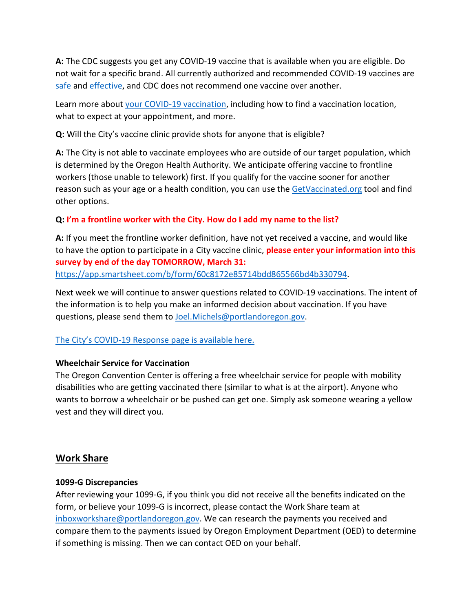**A:** The CDC suggests you get any COVID-19 vaccine that is available when you are eligible. Do not wait for a specific brand. All currently authorized and recommended COVID-19 vaccines are [safe](https://www.cdc.gov/coronavirus/2019-ncov/vaccines/safety/safety-of-vaccines.html) and [effective,](https://www.cdc.gov/coronavirus/2019-ncov/vaccines/effectiveness.html) and CDC does not recommend one vaccine over another.

Learn more about [your COVID-19 vaccination,](https://www.cdc.gov/coronavirus/2019-ncov/vaccines/expect.html) including how to find a vaccination location, what to expect at your appointment, and more.

**Q:** Will the City's vaccine clinic provide shots for anyone that is eligible?

**A:** The City is not able to vaccinate employees who are outside of our target population, which is determined by the Oregon Health Authority. We anticipate offering vaccine to frontline workers (those unable to telework) first. If you qualify for the vaccine sooner for another reason such as your age or a health condition, you can use the [GetVaccinated.org](https://getvaccinated.oregon.gov/) tool and find other options.

## **Q: I'm a frontline worker with the City. How do I add my name to the list?**

**A:** If you meet the frontline worker definition, have not yet received a vaccine, and would like to have the option to participate in a City vaccine clinic, **please enter your information into this survey by end of the day TOMORROW, March 31:** 

[https://app.smartsheet.com/b/form/60c8172e85714bdd865566bd4b330794.](https://app.smartsheet.com/b/form/60c8172e85714bdd865566bd4b330794)

Next week we will continue to answer questions related to COVID-19 vaccinations. The intent of the information is to help you make an informed decision about vaccination. If you have questions, please send them to [Joel.Michels@portlandoregon.gov.](mailto:Joel.Michels@portlandoregon.gov)

## [The City's COVID-19 Response page is available here.](https://www.portlandoregon.gov/bhr/index.cfm?&c=81055)

## **Wheelchair Service for Vaccination**

The Oregon Convention Center is offering a free wheelchair service for people with mobility disabilities who are getting vaccinated there (similar to what is at the airport). Anyone who wants to borrow a wheelchair or be pushed can get one. Simply ask someone wearing a yellow vest and they will direct you.

# <span id="page-1-0"></span>**Work Share**

#### **1099-G Discrepancies**

After reviewing your 1099-G, if you think you did not receive all the benefits indicated on the form, or believe your 1099-G is incorrect, please contact the Work Share team at [inboxworkshare@portlandoregon.gov.](mailto:inboxworkshare@portlandoregon.gov) We can research the payments you received and compare them to the payments issued by Oregon Employment Department (OED) to determine if something is missing. Then we can contact OED on your behalf.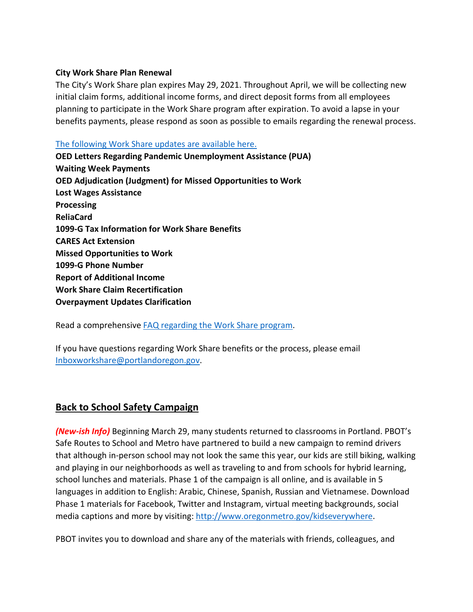#### **City Work Share Plan Renewal**

The City's Work Share plan expires May 29, 2021. Throughout April, we will be collecting new initial claim forms, additional income forms, and direct deposit forms from all employees planning to participate in the Work Share program after expiration. To avoid a lapse in your benefits payments, please respond as soon as possible to emails regarding the renewal process.

#### [The following Work Share updates are available here.](https://www.portlandoregon.gov/bhr/article/782534)

**OED Letters Regarding Pandemic Unemployment Assistance (PUA) Waiting Week Payments OED Adjudication (Judgment) for Missed Opportunities to Work Lost Wages Assistance Processing ReliaCard 1099-G Tax Information for Work Share Benefits CARES Act Extension Missed Opportunities to Work 1099-G Phone Number Report of Additional Income Work Share Claim Recertification Overpayment Updates Clarification**

Read a comprehensive [FAQ regarding the Work Share program.](https://www.portlandoregon.gov/bhr/article/761976)

If you have questions regarding Work Share benefits or the process, please email [Inboxworkshare@portlandoregon.gov.](mailto:Inboxworkshare@portlandoregon.gov)

# <span id="page-2-0"></span>**Back to School Safety Campaign**

*(New-ish Info)* Beginning March 29, many students returned to classrooms in Portland. PBOT's Safe Routes to School and Metro have partnered to build a new campaign to remind drivers that although in-person school may not look the same this year, our kids are still biking, walking and playing in our neighborhoods as well as traveling to and from schools for hybrid learning, school lunches and materials. Phase 1 of the campaign is all online, and is available in 5 languages in addition to English: Arabic, Chinese, Spanish, Russian and Vietnamese. Download Phase 1 materials for Facebook, Twitter and Instagram, virtual meeting backgrounds, social media captions and more by visiting[: http://www.oregonmetro.gov/kidseverywhere.](http://www.oregonmetro.gov/kidseverywhere)

PBOT invites you to download and share any of the materials with friends, colleagues, and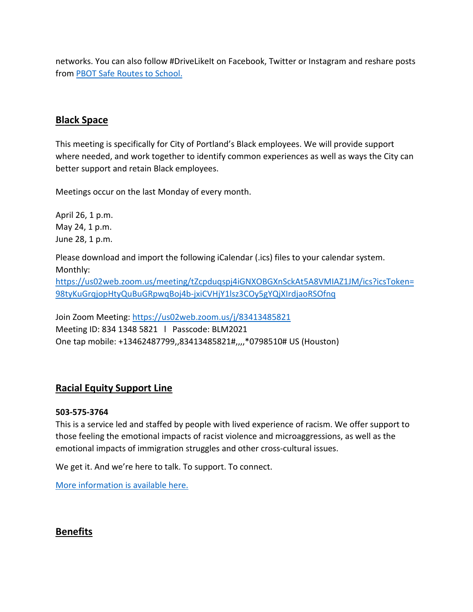networks. You can also follow #DriveLikeIt on Facebook, Twitter or Instagram and reshare posts from [PBOT Safe Routes to School.](https://www.facebook.com/PBOTSafeRoutes/)

# <span id="page-3-0"></span>**Black Space**

This meeting is specifically for City of Portland's Black employees. We will provide support where needed, and work together to identify common experiences as well as ways the City can better support and retain Black employees.

Meetings occur on the last Monday of every month.

April 26, 1 p.m. May 24, 1 p.m. June 28, 1 p.m.

Please download and import the following iCalendar (.ics) files to your calendar system. Monthly: [https://us02web.zoom.us/meeting/tZcpduqspj4iGNXOBGXnSckAt5A8VMIAZ1JM/ics?icsToken=](https://us02web.zoom.us/meeting/tZcpduqspj4iGNXOBGXnSckAt5A8VMIAZ1JM/ics?icsToken=98tyKuGrqjopHtyQuBuGRpwqBoj4b-jxiCVHjY1lsz3COy5gYQjXIrdjaoRSOfnq) [98tyKuGrqjopHtyQuBuGRpwqBoj4b-jxiCVHjY1lsz3COy5gYQjXIrdjaoRSOfnq](https://us02web.zoom.us/meeting/tZcpduqspj4iGNXOBGXnSckAt5A8VMIAZ1JM/ics?icsToken=98tyKuGrqjopHtyQuBuGRpwqBoj4b-jxiCVHjY1lsz3COy5gYQjXIrdjaoRSOfnq)

Join Zoom Meeting:<https://us02web.zoom.us/j/83413485821> Meeting ID: 834 1348 5821 l Passcode: BLM2021 One tap mobile: +13462487799,,83413485821#,,,,\*0798510# US (Houston)

# <span id="page-3-1"></span>**Racial Equity Support Line**

## **503-575-3764**

This is a service led and staffed by people with lived experience of racism. We offer support to those feeling the emotional impacts of racist violence and microaggressions, as well as the emotional impacts of immigration struggles and other cross-cultural issues.

We get it. And we're here to talk. To support. To connect.

[More information is available here.](https://www.linesforlife.org/racial-equity-support-line/?fbclid=IwAR189nJCJbrA3RHn8r_cUZ29iBier77c2vNBIjGUew7aTDyc1DaC0SrDa7Q)

# <span id="page-3-2"></span>**Benefits**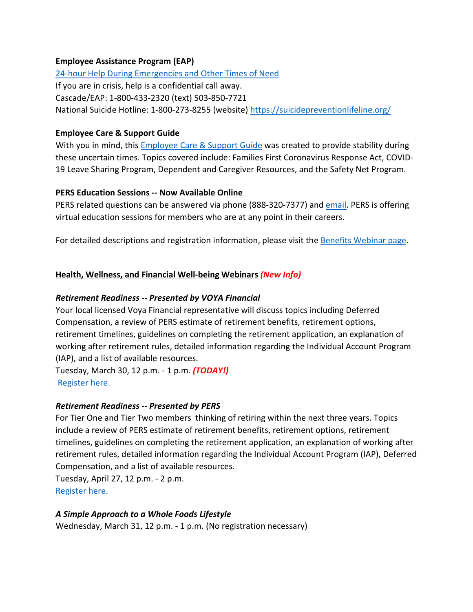#### **Employee Assistance Program (EAP)**

[24-hour Help During Emergencies and Other Times of Need](https://www.portlandoregon.gov/bhr/76512) If you are in crisis, help is a confidential call away. Cascade/EAP: 1-800-433-2320 (text) 503-850-7721 National Suicide Hotline: 1-800-273-8255 (website)<https://suicidepreventionlifeline.org/>

### **Employee Care & Support Guide**

With you in mind, this **Employee Care & Support Guide** was created to provide stability during these uncertain times. Topics covered include: Families First Coronavirus Response Act, COVID-19 Leave Sharing Program, Dependent and Caregiver Resources, and the Safety Net Program.

#### **PERS Education Sessions -- Now Available Online**

PERS related questions can be answered via phone (888-320-7377) an[d email.](https://www.oregon.gov/pers/Pages/Submit-a-Question.aspx) PERS is offering virtual education sessions for members who are at any point in their careers.

For detailed descriptions and registration information, please visit the **Benefits Webinar page**.

## **Health, Wellness, and Financial Well-being Webinars** *(New Info)*

## *Retirement Readiness -- Presented by VOYA Financial*

Your local licensed Voya Financial representative will discuss topics including Deferred Compensation, a review of PERS estimate of retirement benefits, retirement options, retirement timelines, guidelines on completing the retirement application, an explanation of working after retirement rules, detailed information regarding the Individual Account Program (IAP), and a list of available resources.

Tuesday, March 30, 12 p.m. - 1 p.m. *(TODAY!)* [Register here.](https://voyafa.zoom.us/webinar/register/WN_4B2UJmu2TQegP86KamZrnQ)

## *Retirement Readiness* **--** *Presented by PERS*

For Tier One and Tier Two members thinking of retiring within the next three years. Topics include a review of PERS estimate of retirement benefits, retirement options, retirement timelines, guidelines on completing the retirement application, an explanation of working after retirement rules, detailed information regarding the Individual Account Program (IAP), Deferred Compensation, and a list of available resources.

Tuesday, April 27, 12 p.m. - 2 p.m. [Register here.](https://us02web.zoom.us/webinar/register/WN_pVbeuTMUQo2RXvGMlp_WOQ)

## *A Simple Approach to a Whole Foods Lifestyle*

Wednesday, March 31, 12 p.m. - 1 p.m. (No registration necessary)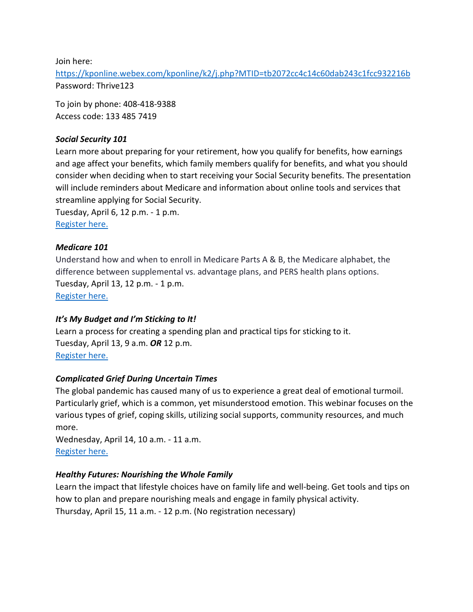Join here:

<https://kponline.webex.com/kponline/k2/j.php?MTID=tb2072cc4c14c60dab243c1fcc932216b> Password: Thrive123

To join by phone: 408-418-9388 Access code: 133 485 7419

#### *Social Security 101*

Learn more about preparing for your retirement, how you qualify for benefits, how earnings and age affect your benefits, which family members qualify for benefits, and what you should consider when deciding when to start receiving your Social Security benefits. The presentation will include reminders about Medicare and information about online tools and services that streamline applying for Social Security.

Tuesday, April 6, 12 p.m. - 1 p.m. [Register here.](https://us02web.zoom.us/webinar/register/WN_Y0u97Q5TRw2EwBq4EEKhaA)

#### *Medicare 101*

Understand how and when to enroll in Medicare Parts A & B, the Medicare alphabet, the difference between supplemental vs. advantage plans, and PERS health plans options. Tuesday, April 13, 12 p.m. - 1 p.m. [Register here.](https://us02web.zoom.us/webinar/register/WN_-kLRvDtrToKwJG5EMmRhug)

#### *It's My Budget and I'm Sticking to It!*

Learn a process for creating a spending plan and practical tips for sticking to it. Tuesday, April 13, 9 a.m. *OR* 12 p.m. [Register here.](https://register.gotowebinar.com/rt/9128138247838572301?source=CSM&mc_cid=3d86c0f256&mc_eid=8547be238e)

#### *Complicated Grief During Uncertain Times*

The global pandemic has caused many of us to experience a great deal of emotional turmoil. Particularly grief, which is a common, yet misunderstood emotion. This webinar focuses on the various types of grief, coping skills, utilizing social supports, community resources, and much more.

Wednesday, April 14, 10 a.m. - 11 a.m. [Register here.](https://register.gotowebinar.com/register/5706198580417289996?mc_cid=3d86c0f256&mc_eid=8547be238e)

#### *Healthy Futures: Nourishing the Whole Family*

Learn the impact that lifestyle choices have on family life and well-being. Get tools and tips on how to plan and prepare nourishing meals and engage in family physical activity. Thursday, April 15, 11 a.m. - 12 p.m. (No registration necessary)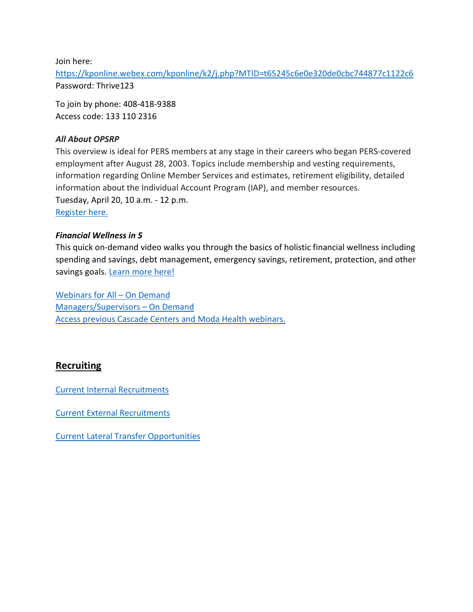Join here:

<https://kponline.webex.com/kponline/k2/j.php?MTID=t65245c6e0e320de0cbc744877c1122c6> Password: Thrive123

To join by phone: 408-418-9388 Access code: 133 110 2316

#### *All About OPSRP*

This overview is ideal for PERS members at any stage in their careers who began PERS-covered employment after August 28, 2003. Topics include membership and vesting requirements, information regarding Online Member Services and estimates, retirement eligibility, detailed information about the Individual Account Program (IAP), and member resources. Tuesday, April 20, 10 a.m. - 12 p.m. [Register here.](https://us02web.zoom.us/webinar/register/WN_mcmOfoXqQ5uHVo24OwMcMg)

#### *Financial Wellness in 5*

This quick on-demand video walks you through the basics of holistic financial wellness including spending and savings, debt management, emergency savings, retirement, protection, and other savings goals. [Learn more](https://www.voya.com/page/financial-wellness-5) here[!](https://www.voya.com/page/financial-wellness-5)

[Webinars for All –](https://cascade-gateway.lifeadvantages.net/module.php/core/loginuserpass.php?AuthState=_1a3a852f693adc187cf20e6ab784129a7005390dae%3Ahttps%3A%2F%2Fcascade-gateway.lifeadvantages.net%2Fsaml2%2Fidp%2FSSOService.php%3Fspentityid%3Dhttps%253A%252F%252Fsaml-01.personaladvantage.com%252Fsp%26cookieTime%3D1615310144%26RelayState%3Dss%253Amem%253A1d8e1b0ec14601a8153ab04497bc5fd0f0d50a5926308558f40d35a41079c199) On Demand [Managers/Supervisors –](https://www.portlandoregon.gov/bhr/article/750308) On Deman[d](https://www.portlandoregon.gov/bhr/article/750308) [Access previous Cascade Centers and Moda Health webinars.](https://www.portlandoregon.gov/bhr/index.cfm?&c=79368)

# <span id="page-6-0"></span>**Recruiting**

[Current Internal Recruitments](https://www.governmentjobs.com/careers/portlandor/promotionaljobs)

[Current External Recruitments](https://www.governmentjobs.com/careers/portlandor?)

[Current Lateral Transfer Opportunities](https://www.governmentjobs.com/careers/portlandor/transferjobs)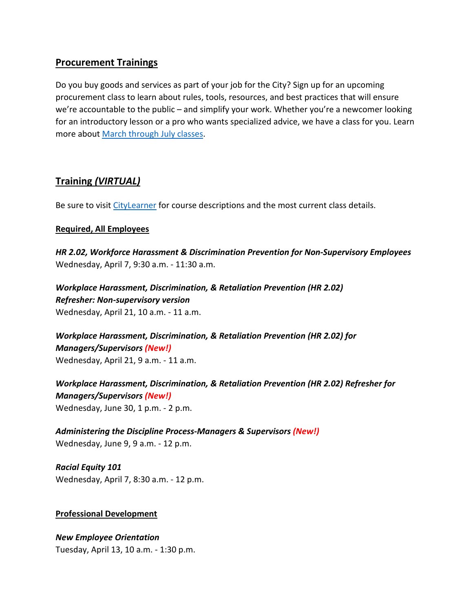# <span id="page-7-0"></span>**Procurement Trainings**

Do you buy goods and services as part of your job for the City? Sign up for an upcoming procurement class to learn about rules, tools, resources, and best practices that will ensure we're accountable to the public – and simplify your work. Whether you're a newcomer looking for an introductory lesson or a pro who wants specialized advice, we have a class for you. Learn more about [March through July classes.](https://www.portlandoregon.gov/brfs/index.cfm?&a=780678)

# <span id="page-7-1"></span>**Training** *(VIRTUAL)*

Be sure to visit [CityLearner](https://www.portlandoregon.gov/bhr/article/446111) for course descriptions and the most current class details.

## **Required, All Employees**

*HR 2.02, Workforce Harassment & Discrimination Prevention for Non-Supervisory Employees* Wednesday, April 7, 9:30 a.m. - 11:30 a.m.

*Workplace Harassment, Discrimination, & Retaliation Prevention (HR 2.02) Refresher: Non-supervisory version*  Wednesday, April 21, 10 a.m. - 11 a.m.

*Workplace Harassment, Discrimination, & Retaliation Prevention (HR 2.02) for Managers/Supervisors (New!)* Wednesday, April 21, 9 a.m. - 11 a.m.

*Workplace Harassment, Discrimination, & Retaliation Prevention (HR 2.02) Refresher for Managers/Supervisors (New!)* Wednesday, June 30, 1 p.m. - 2 p.m.

*Administering the Discipline Process-Managers & Supervisors (New!)* Wednesday, June 9, 9 a.m. - 12 p.m.

*Racial Equity 101* Wednesday, April 7, 8:30 a.m. - 12 p.m.

## **Professional Development**

*New Employee Orientation* Tuesday, April 13, 10 a.m. - 1:30 p.m.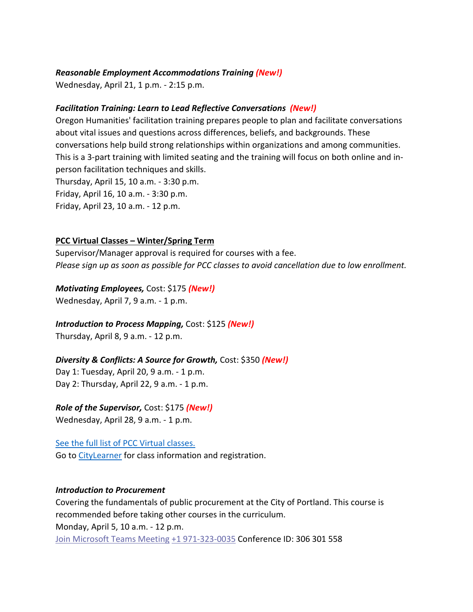#### *Reasonable Employment Accommodations Training (New!)*

Wednesday, April 21, 1 p.m. - 2:15 p.m.

#### *Facilitation Training: Learn to Lead Reflective Conversations (New!)*

Oregon Humanities' facilitation training prepares people to plan and facilitate conversations about vital issues and questions across differences, beliefs, and backgrounds. These conversations help build strong relationships within organizations and among communities. This is a 3-part training with limited seating and the training will focus on both online and inperson facilitation techniques and skills. Thursday, April 15, 10 a.m. - 3:30 p.m.

Friday, April 16, 10 a.m. - 3:30 p.m.

Friday, April 23, 10 a.m. - 12 p.m.

#### **PCC Virtual Classes – Winter/Spring Term**

Supervisor/Manager approval is required for courses with a fee. *Please sign up as soon as possible for PCC classes to avoid cancellation due to low enrollment.*

#### *Motivating Employees,* Cost: \$175 *(New!)*

Wednesday, April 7, 9 a.m. - 1 p.m.

#### *Introduction to Process Mapping,* Cost: \$125 *(New!)*

Thursday, April 8, 9 a.m. - 12 p.m.

#### *Diversity & Conflicts: A Source for Growth,* Cost: \$350 *(New!)*

Day 1: Tuesday, April 20, 9 a.m. - 1 p.m. Day 2: Thursday, April 22, 9 a.m. - 1 p.m.

## *Role of the Supervisor,* Cost: \$175 *(New!)*

Wednesday, April 28, 9 a.m. - 1 p.m.

# See [the full list of PCC Virtual classes.](https://www.portlandoregon.gov/bhr/article/503337)

Go t[o CityLearner](https://www.portlandoregon.gov/bhr/article/446111) for class information and registration.

#### *Introduction to Procurement*

Covering the fundamentals of public procurement at the City of Portland. This course is recommended before taking other courses in the curriculum. Monday, April 5, 10 a.m. - 12 p.m. [Join Microsoft Teams Meeting](https://teams.microsoft.com/l/meetup-join/19%3ameeting_NzEzMGM0ZDMtY2NlZC00ZmNjLWFlYzctOTA1ZTlmNzE1ZGY4%40thread.v2/0?context=%7b%22Tid%22%3a%22636d7808-73c9-41a7-97aa-8c4733642141%22%2c%22Oid%22%3a%2286b2ae6e-2fe6-44ca-9974-4b60b2e2cd99%22%7d) [+1 971-323-0035](tel:+1%20971-323-0035,,306301558) Conference ID: 306 301 558